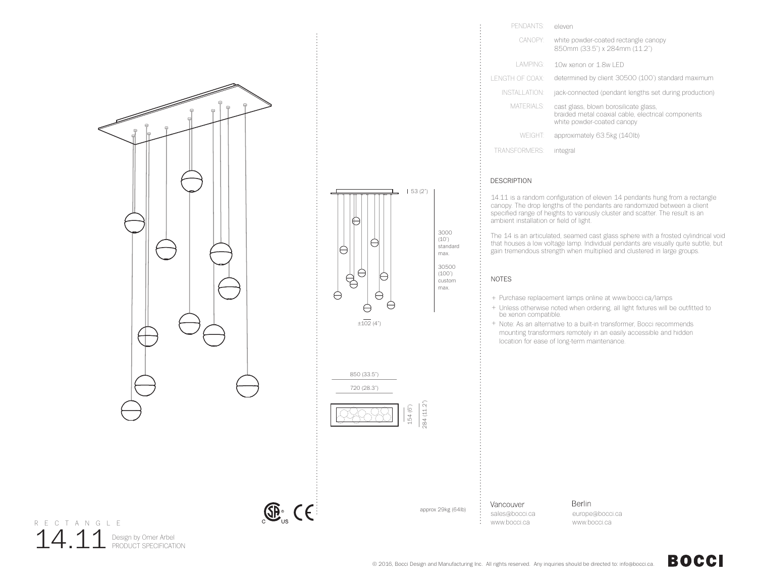

14.11 Design by Omer Arbel

R E C T A N G L E



## PENDANTS: eleven white powder-coated rectangle canopy 850mm (33.5") x 284mm (11.2") CANOPY: LAMPING: 10w xenon or 1.8w LED LENGTH OF COAX: determined by client 30500 (100') standard maximum INSTALLATION: jack-connected (pendant lengths set during production) cast glass, blown borosilicate glass, braided metal coaxial cable, electrical components white powder-coated canopy MATERIALS: WEIGHT: approximately 63.5kg (140lb) TRANSFORMERS: integral

## DESCRIPTION

14.11 is a random configuration of eleven 14 pendants hung from a rectangle canopy. The drop lengths of the pendants are randomized between a client specified range of heights to variously cluster and scatter. The result is an ambient installation or field of light.

The 14 is an articulated, seamed cast glass sphere with a frosted cylindrical void that houses a low voltage lamp. Individual pendants are visually quite subtle, but gain tremendous strength when multiplied and clustered in large groups.

## NOTES

- + Purchase replacement lamps online at www.bocci.ca/lamps
- + Unless otherwise noted when ordering, all light fixtures will be outfitted to be xenon compatible.
- + Note: As an alternative to a built-in transformer, Bocci recommends mounting transformers remotely in an easily accessible and hidden location for ease of long-term maintenance.

Vancouver sales@bocci.ca www.bocci.ca

approx 29kg (64lb)

**Berlin** europe@bocci.ca www.bocci.ca

## **BOCCI**